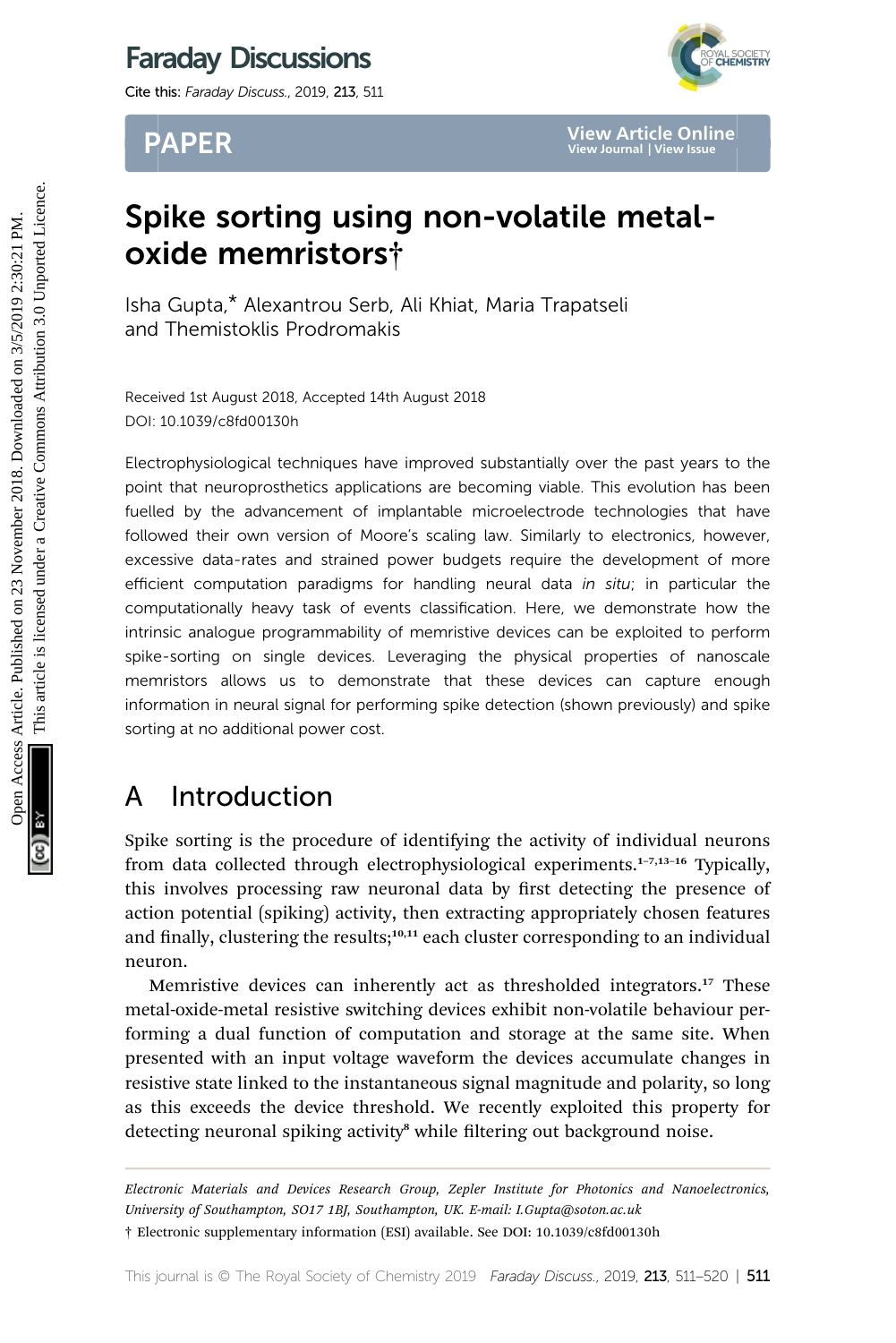# Faraday Discussions

Cite this: Faraday Discuss., 2019, 213, 511



# PAPER

# Spike sorting using non-volatile metaloxide memristors†

Isha Gupta,\* Alexantrou Serb, Ali Khiat, Maria Trapatseli and Themistoklis Prodromakis

Received 1st August 2018, Accepted 14th August 2018 DOI: 10.1039/c8fd00130h

Electrophysiological techniques have improved substantially over the past years to the point that neuroprosthetics applications are becoming viable. This evolution has been fuelled by the advancement of implantable microelectrode technologies that have followed their own version of Moore's scaling law. Similarly to electronics, however, excessive data-rates and strained power budgets require the development of more efficient computation paradigms for handling neural data in situ; in particular the computationally heavy task of events classification. Here, we demonstrate how the intrinsic analogue programmability of memristive devices can be exploited to perform spike-sorting on single devices. Leveraging the physical properties of nanoscale memristors allows us to demonstrate that these devices can capture enough information in neural signal for performing spike detection (shown previously) and spike sorting at no additional power cost. **Example 18 Spike sorting using non-volatile metal-**<br> **Spike sorting using non-volatile metal-**<br> **Spike sorting using non-volatile metal-**<br> **Spike sorting using non-volatile metal-**<br> **Spike sorting using non-volatile metal** 

## A Introduction

Spike sorting is the procedure of identifying the activity of individual neurons from data collected through electrophysiological experiments.<sup>1-7,13-16</sup> Typically, this involves processing raw neuronal data by first detecting the presence of action potential (spiking) activity, then extracting appropriately chosen features and finally, clustering the results;<sup>10,11</sup> each cluster corresponding to an individual neuron.

Memristive devices can inherently act as thresholded integrators.<sup>17</sup> These metal-oxide-metal resistive switching devices exhibit non-volatile behaviour performing a dual function of computation and storage at the same site. When presented with an input voltage waveform the devices accumulate changes in resistive state linked to the instantaneous signal magnitude and polarity, so long as this exceeds the device threshold. We recently exploited this property for detecting neuronal spiking activity<sup>8</sup> while filtering out background noise.

Electronic Materials and Devices Research Group, Zepler Institute for Photonics and Nanoelectronics, University of Southampton, SO17 1BJ, Southampton, UK. E-mail: I.Gupta@soton.ac.uk † Electronic supplementary information (ESI) available. See DOI: 10.1039/c8fd00130h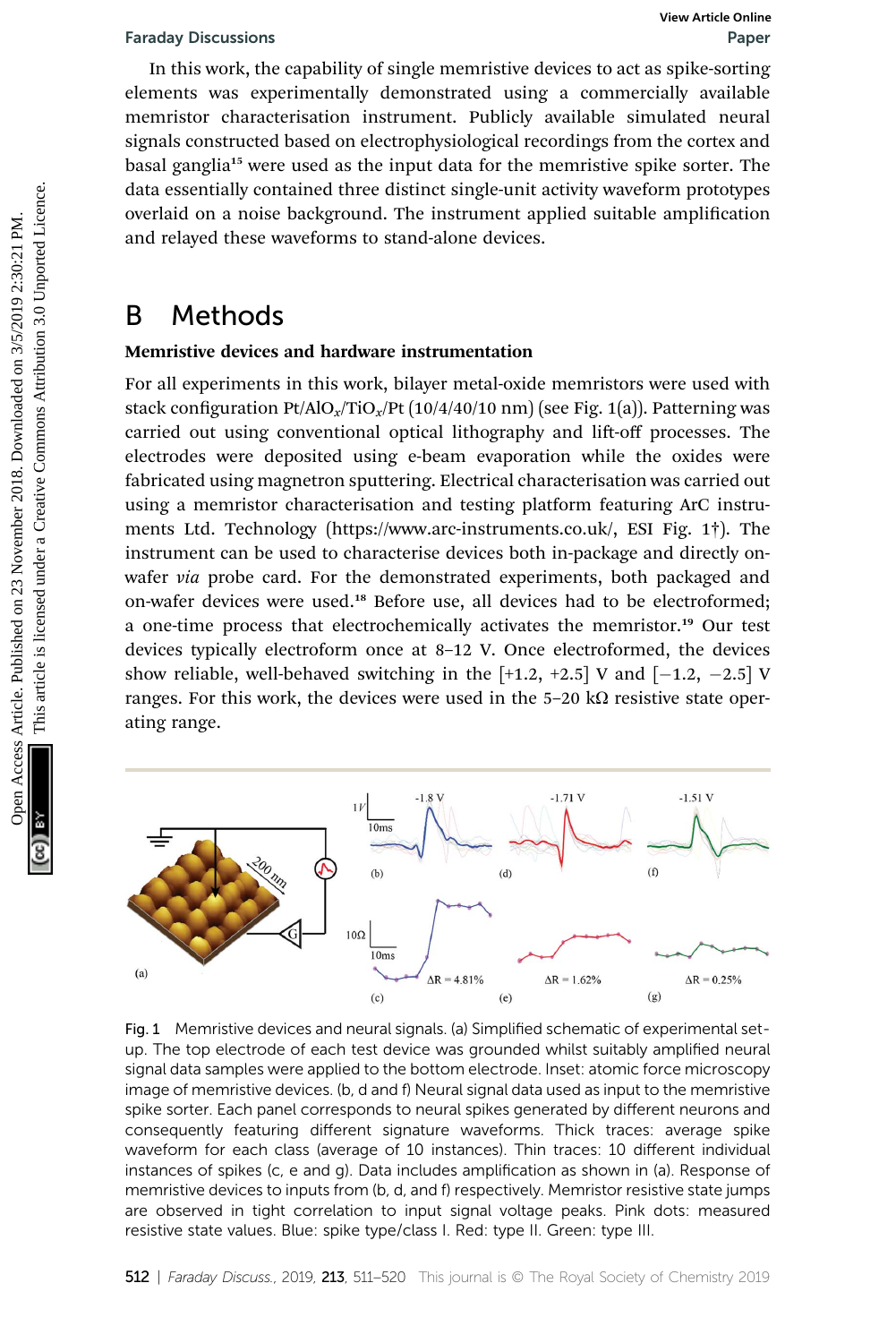In this work, the capability of single memristive devices to act as spike-sorting elements was experimentally demonstrated using a commercially available memristor characterisation instrument. Publicly available simulated neural signals constructed based on electrophysiological recordings from the cortex and basal ganglia<sup>15</sup> were used as the input data for the memristive spike sorter. The data essentially contained three distinct single-unit activity waveform prototypes overlaid on a noise background. The instrument applied suitable amplication and relayed these waveforms to stand-alone devices.

### B Methods

### Memristive devices and hardware instrumentation

For all experiments in this work, bilayer metal-oxide memristors were used with stack configuration Pt/AlO<sub>x</sub>/TiO<sub>x</sub>/Pt (10/4/40/10 nm) (see Fig. 1(a)). Patterning was carried out using conventional optical lithography and lift-off processes. The electrodes were deposited using e-beam evaporation while the oxides were fabricated using magnetron sputtering. Electrical characterisation was carried out using a memristor characterisation and testing platform featuring ArC instruments Ltd. Technology (https://www.arc-instruments.co.uk/, ESI Fig. 1†). The instrument can be used to characterise devices both in-package and directly onwafer via probe card. For the demonstrated experiments, both packaged and on-wafer devices were used.<sup>18</sup> Before use, all devices had to be electroformed; a one-time process that electrochemically activates the memristor.<sup>19</sup> Our test devices typically electroform once at 8–12 V. Once electroformed, the devices show reliable, well-behaved switching in the  $[+1.2, +2.5]$  V and  $[-1.2, -2.5]$  V ranges. For this work, the devices were used in the  $5-20 \text{ k}\Omega$  resistive state operating range. Farday Diecusions<br>
In this work, the expability of single memnistive devices to at as pluse on the elements was experimentally demonstrated using a common<br>
signal constructed has do nelectophysiological recordings from th



Fig. 1 Memristive devices and neural signals. (a) Simplified schematic of experimental setup. The top electrode of each test device was grounded whilst suitably amplified neural signal data samples were applied to the bottom electrode. Inset: atomic force microscopy image of memristive devices. (b, d and f) Neural signal data used as input to the memristive spike sorter. Each panel corresponds to neural spikes generated by different neurons and consequently featuring different signature waveforms. Thick traces: average spike waveform for each class (average of 10 instances). Thin traces: 10 different individual instances of spikes (c, e and g). Data includes amplification as shown in (a). Response of memristive devices to inputs from (b, d, and f) respectively. Memristor resistive state jumps are observed in tight correlation to input signal voltage peaks. Pink dots: measured resistive state values. Blue: spike type/class I. Red: type II. Green: type III.

512 | Faraday Discuss., 2019, 213, 511-520 This journal is © The Royal Society of Chemistry 2019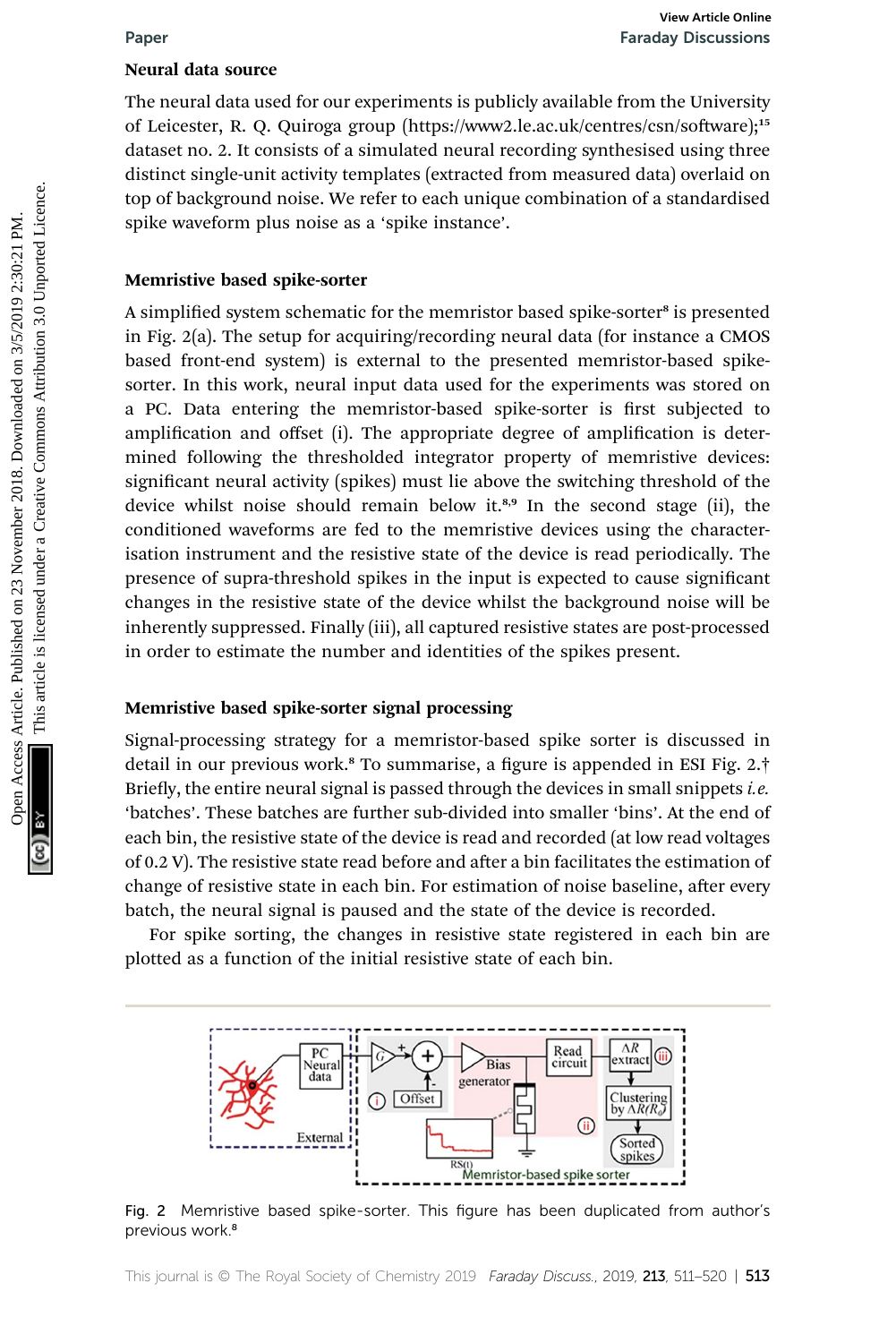### Neural data source

The neural data used for our experiments is publicly available from the University of Leicester, R. Q. Quiroga group (https://www2.le.ac.uk/centres/csn/software);<sup>15</sup> dataset no. 2. It consists of a simulated neural recording synthesised using three distinct single-unit activity templates (extracted from measured data) overlaid on top of background noise. We refer to each unique combination of a standardised spike waveform plus noise as a 'spike instance'.

### Memristive based spike-sorter

A simplified system schematic for the memristor based spike-sorter<sup>8</sup> is presented in Fig. 2(a). The setup for acquiring/recording neural data (for instance a CMOS based front-end system) is external to the presented memristor-based spikesorter. In this work, neural input data used for the experiments was stored on a PC. Data entering the memristor-based spike-sorter is first subjected to amplification and offset (i). The appropriate degree of amplification is determined following the thresholded integrator property of memristive devices: significant neural activity (spikes) must lie above the switching threshold of the device whilst noise should remain below it.<sup>8,9</sup> In the second stage (ii), the conditioned waveforms are fed to the memristive devices using the characterisation instrument and the resistive state of the device is read periodically. The presence of supra-threshold spikes in the input is expected to cause signicant changes in the resistive state of the device whilst the background noise will be inherently suppressed. Finally (iii), all captured resistive states are post-processed in order to estimate the number and identities of the spikes present. **Published on 23**<br> **Published on 23 November 2018.** Then near the total angle in the consistence of Leicester, R. Q. Quirings group (https://www.2.le.ac.uk/centres/csn/software)<sup>24</sup><br>
datast no. 2. It consists of a simulate

### Memristive based spike-sorter signal processing

Signal-processing strategy for a memristor-based spike sorter is discussed in detail in our previous work.<sup>8</sup> To summarise, a figure is appended in ESI Fig.  $2.†$ Briefly, the entire neural signal is passed through the devices in small snippets *i.e.* 'batches'. These batches are further sub-divided into smaller 'bins'. At the end of each bin, the resistive state of the device is read and recorded (at low read voltages of  $0.2$  V). The resistive state read before and after a bin facilitates the estimation of change of resistive state in each bin. For estimation of noise baseline, after every batch, the neural signal is paused and the state of the device is recorded.

For spike sorting, the changes in resistive state registered in each bin are plotted as a function of the initial resistive state of each bin.



Fig. 2 Memristive based spike-sorter. This figure has been duplicated from author's previous work.<sup>8</sup>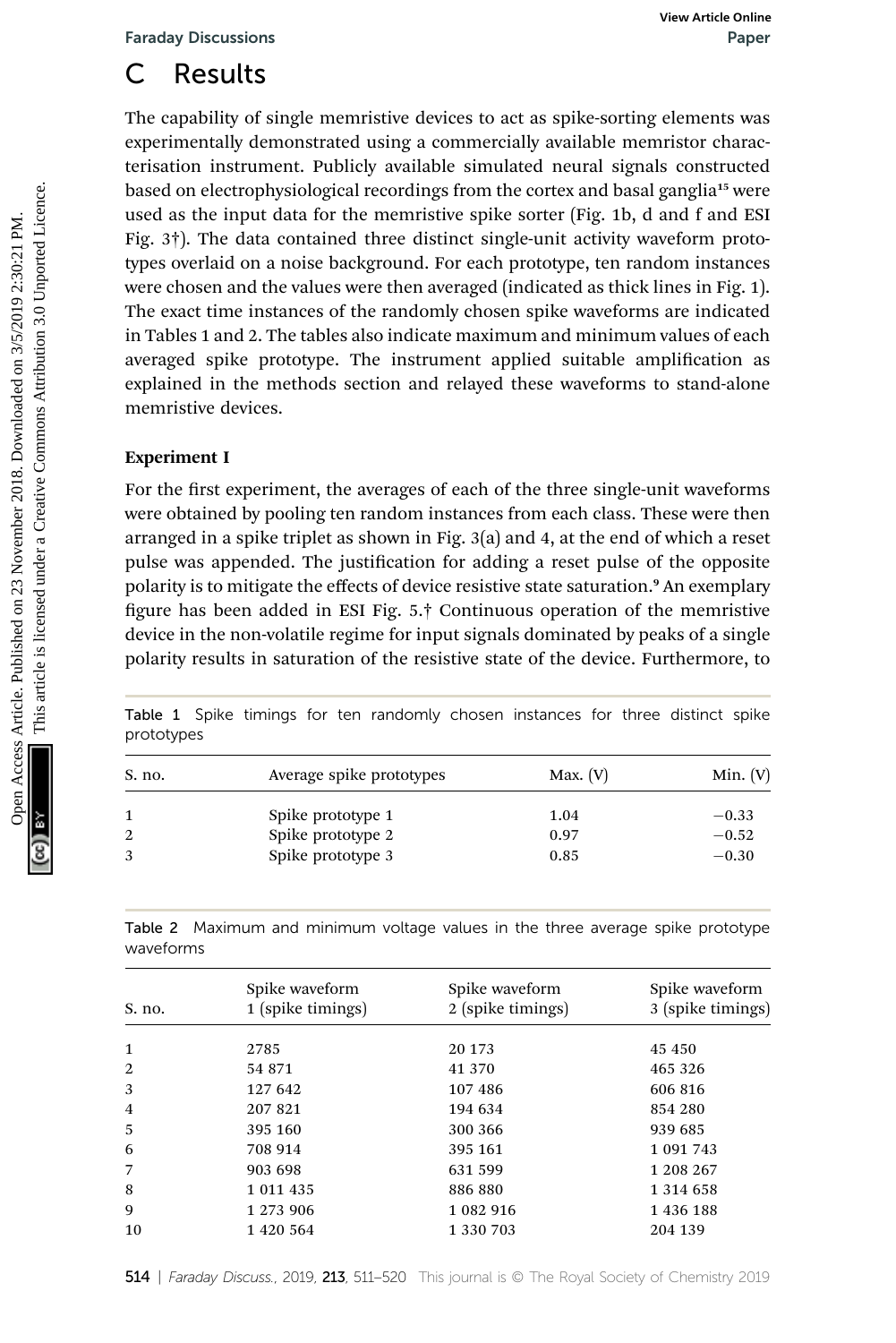# C Results

The capability of single memristive devices to act as spike-sorting elements was experimentally demonstrated using a commercially available memristor characterisation instrument. Publicly available simulated neural signals constructed based on electrophysiological recordings from the cortex and basal ganglia<sup>15</sup> were used as the input data for the memristive spike sorter (Fig. 1b, d and f and ESI Fig. 3†). The data contained three distinct single-unit activity waveform prototypes overlaid on a noise background. For each prototype, ten random instances were chosen and the values were then averaged (indicated as thick lines in Fig. 1). The exact time instances of the randomly chosen spike waveforms are indicated in Tables 1 and 2. The tables also indicate maximum and minimum values of each averaged spike prototype. The instrument applied suitable amplication as explained in the methods section and relayed these waveforms to stand-alone memristive devices. Faraday Discussions<br> **C Results**<br>
The capability of single mennistive devices to act as spile-sorting elements was<br>
experimentably demonstrated using a commercially available inemlation there are<br>
trestiation instrument

### Experiment I

For the first experiment, the averages of each of the three single-unit waveforms were obtained by pooling ten random instances from each class. These were then arranged in a spike triplet as shown in Fig. 3(a) and 4, at the end of which a reset pulse was appended. The justification for adding a reset pulse of the opposite polarity is to mitigate the effects of device resistive state saturation.<sup>9</sup> An exemplary figure has been added in ESI Fig.  $5.†$  Continuous operation of the memristive device in the non-volatile regime for input signals dominated by peaks of a single polarity results in saturation of the resistive state of the device. Furthermore, to

| S. no. | Average spike prototypes | Max. $(V)$ | Min. $(V)$ |
|--------|--------------------------|------------|------------|
|        | Spike prototype 1        | 1.04       | $-0.33$    |
|        | Spike prototype 2        | 0.97       | $-0.52$    |
|        | Spike prototype 3        | 0.85       | $-0.30$    |

Table 1 Spike timings for ten randomly chosen instances for three distinct spike prototypes

Table 2 Maximum and minimum voltage values in the three average spike prototype waveforms

| S. no.       | Spike waveform<br>1 (spike timings) | Spike waveform<br>2 (spike timings) | Spike waveform<br>3 (spike timings) |
|--------------|-------------------------------------|-------------------------------------|-------------------------------------|
| $\mathbf{1}$ | 2785                                | 20 173                              | 45 450                              |
| 2            | 54 871                              | 41 370                              | 465 326                             |
| 3            | 127 642                             | 107 486                             | 606 816                             |
| 4            | 207 821                             | 194 634                             | 854 280                             |
| 5            | 395 160                             | 300 366                             | 939 685                             |
| 6            | 708 914                             | 395 161                             | 1 091 743                           |
| 7            | 903 698                             | 631 599                             | 1 208 267                           |
| 8            | 1 0 1 1 4 3 5                       | 886 880                             | 1 3 1 4 6 5 8                       |
| 9            | 1 273 906                           | 1 082 916                           | 1436188                             |
| 10           | 1420564                             | 1 330 703                           | 204 139                             |

514 | Faraday Discuss., 2019, 213, 511-520 This journal is © The Royal Society of Chemistry 2019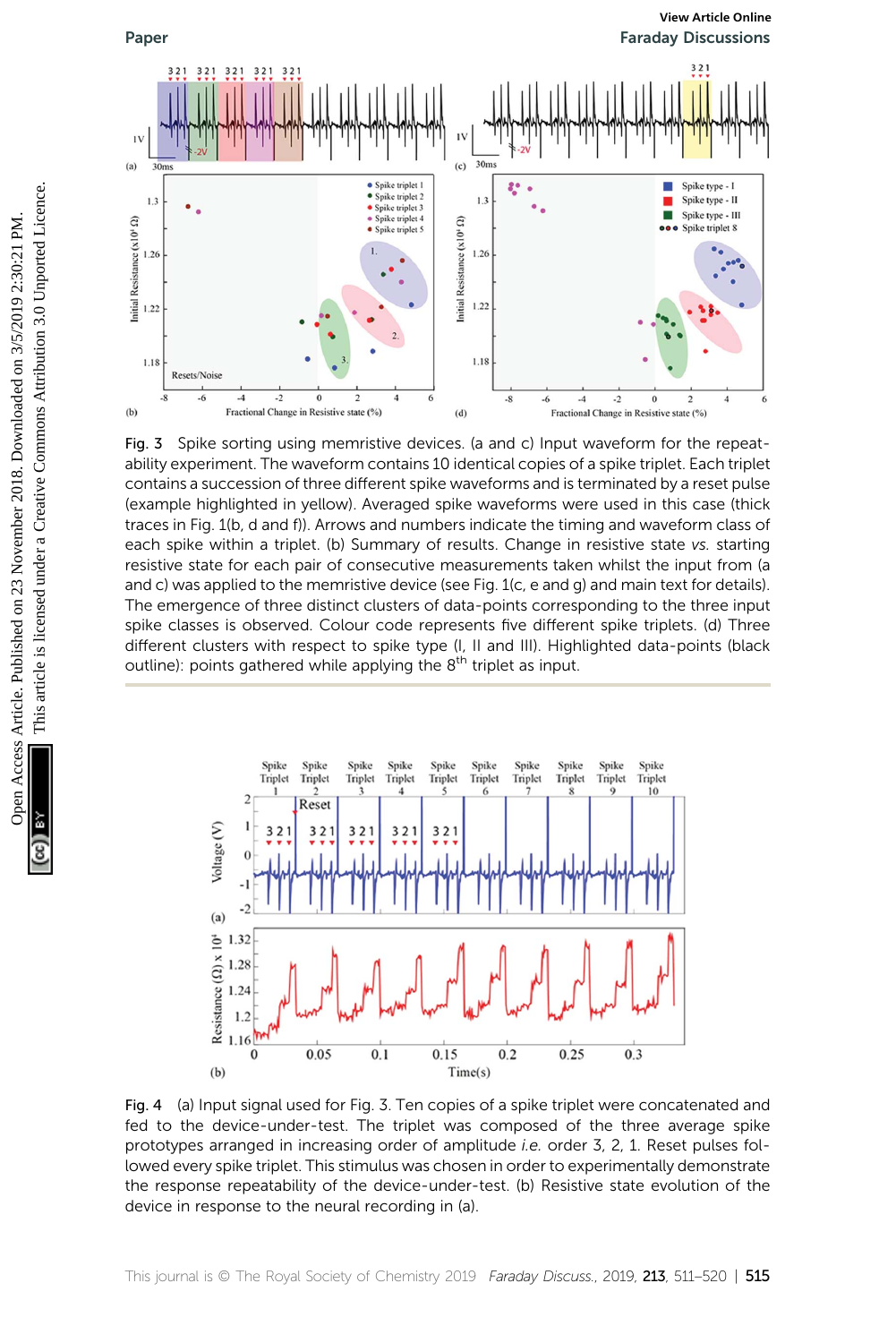

Fig. 3 Spike sorting using memristive devices. (a and c) Input waveform for the repeatability experiment. The waveform contains 10 identical copies of a spike triplet. Each triplet contains a succession of three different spike waveforms and is terminated by a reset pulse (example highlighted in yellow). Averaged spike waveforms were used in this case (thick traces in Fig. 1(b, d and f)). Arrows and numbers indicate the timing and waveform class of each spike within a triplet. (b) Summary of results. Change in resistive state vs. starting resistive state for each pair of consecutive measurements taken whilst the input from (a and c) was applied to the memristive device (see Fig. 1(c, e and g) and main text for details). The emergence of three distinct clusters of data-points corresponding to the three input spike classes is observed. Colour code represents five different spike triplets. (d) Three different clusters with respect to spike type (I, II and III). Highlighted data-points (black outline): points gathered while applying the  $8<sup>th</sup>$  triplet as input.



Fig. 4 (a) Input signal used for Fig. 3. Ten copies of a spike triplet were concatenated and fed to the device-under-test. The triplet was composed of the three average spike prototypes arranged in increasing order of amplitude i.e. order 3, 2, 1. Reset pulses followed every spike triplet. This stimulus was chosen in order to experimentally demonstrate the response repeatability of the device-under-test. (b) Resistive state evolution of the device in response to the neural recording in (a).

ā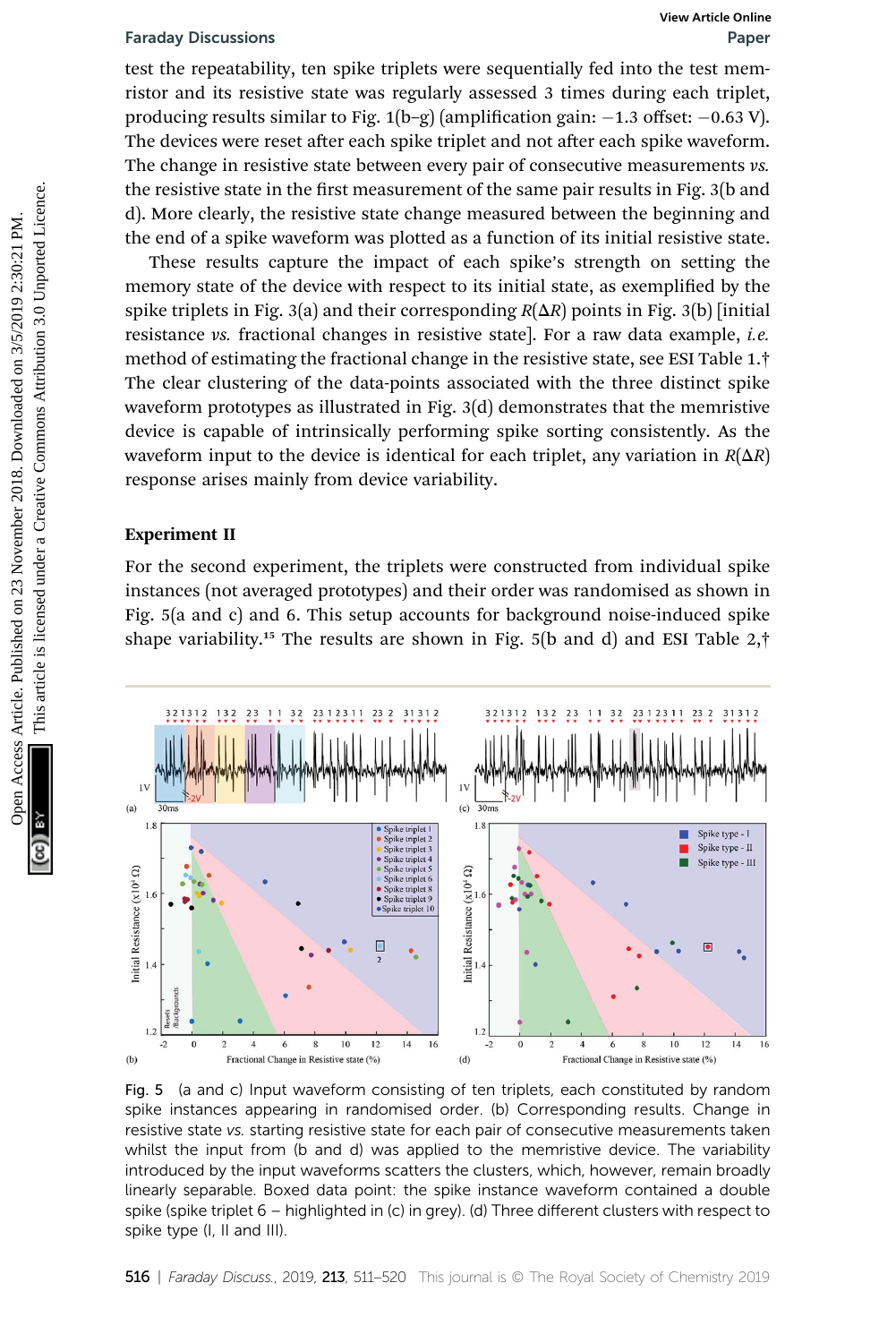test the repeatability, ten spike triplets were sequentially fed into the test memristor and its resistive state was regularly assessed 3 times during each triplet, producing results similar to Fig.  $1(b-g)$  (amplification gain:  $-1.3$  offset:  $-0.63$  V). The devices were reset after each spike triplet and not after each spike waveform. The change in resistive state between every pair of consecutive measurements vs. the resistive state in the first measurement of the same pair results in Fig. 3(b and d). More clearly, the resistive state change measured between the beginning and the end of a spike waveform was plotted as a function of its initial resistive state.

These results capture the impact of each spike's strength on setting the memory state of the device with respect to its initial state, as exemplified by the spike triplets in Fig. 3(a) and their corresponding  $R(\Delta R)$  points in Fig. 3(b) [initial resistance *vs.* fractional changes in resistive state]. For a raw data example, *i.e.* method of estimating the fractional change in the resistive state, see ESI Table 1.† The clear clustering of the data-points associated with the three distinct spike waveform prototypes as illustrated in Fig. 3(d) demonstrates that the memristive device is capable of intrinsically performing spike sorting consistently. As the waveform input to the device is identical for each triplet, any variation in  $R(\Delta R)$ response arises mainly from device variability. Faraday Diecussions<br>
test the repeatability, ten splike triplets were sequentially fed into the team<br>
friest articles. The chief street areas after a calculate to Fig. 1(b-g) (amplification gain:  $-1.3$  offset:  $-0.63$  V)

### Experiment II

For the second experiment, the triplets were constructed from individual spike instances (not averaged prototypes) and their order was randomised as shown in Fig. 5(a and c) and 6. This setup accounts for background noise-induced spike shape variability.<sup>15</sup> The results are shown in Fig. 5(b and d) and ESI Table 2, $\dagger$ 



Fig. 5 (a and c) Input waveform consisting of ten triplets, each constituted by random spike instances appearing in randomised order. (b) Corresponding results. Change in resistive state vs. starting resistive state for each pair of consecutive measurements taken whilst the input from (b and d) was applied to the memristive device. The variability introduced by the input waveforms scatters the clusters, which, however, remain broadly linearly separable. Boxed data point: the spike instance waveform contained a double spike (spike triplet 6 – highlighted in (c) in grey). (d) Three different clusters with respect to spike type (I, II and III).

516 | Faraday Discuss., 2019, 213, 511-520 This journal is © The Royal Society of Chemistry 2019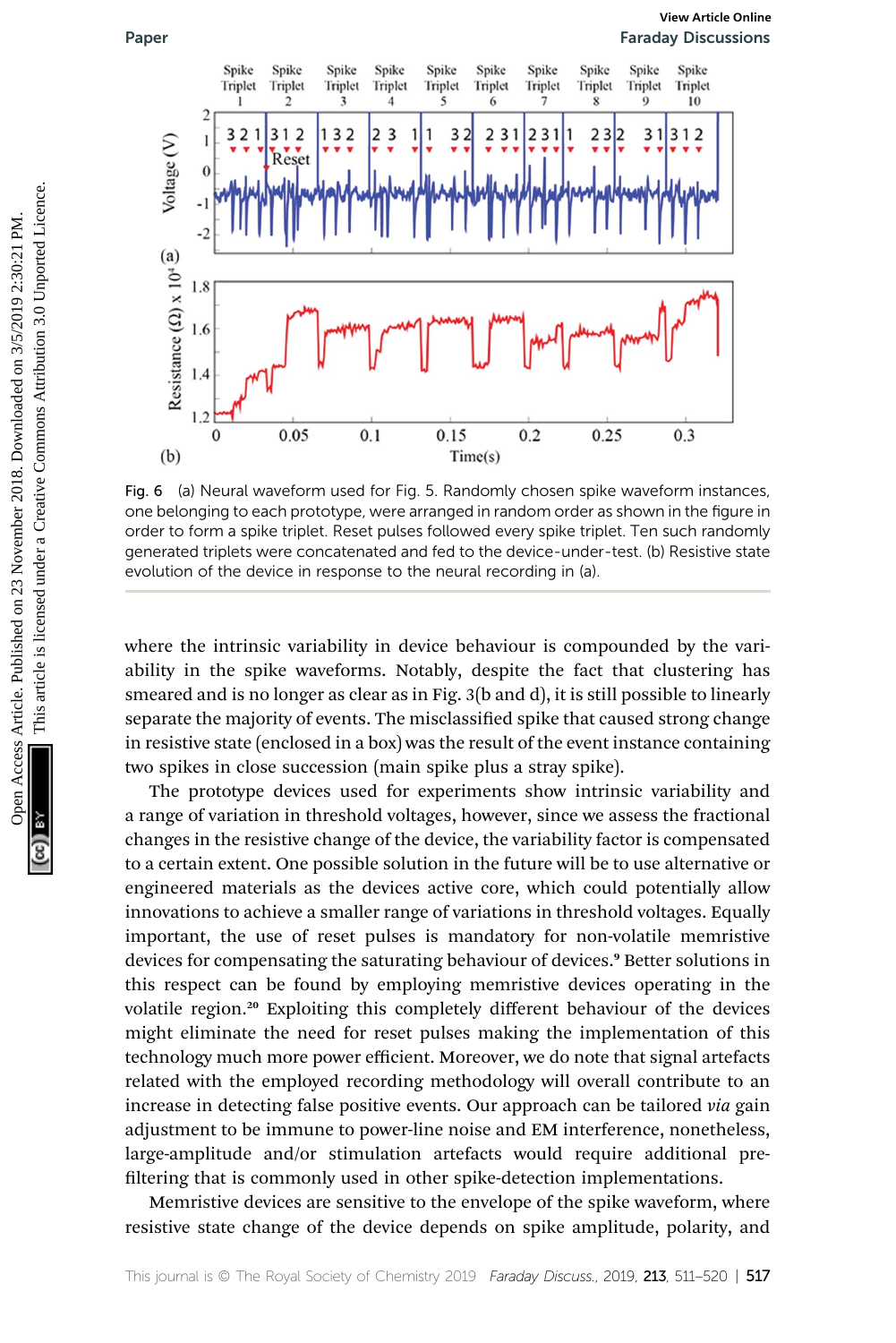

Fig. 6 (a) Neural waveform used for Fig. 5. Randomly chosen spike waveform instances, one belonging to each prototype, were arranged in random order as shown in the figure in order to form a spike triplet. Reset pulses followed every spike triplet. Ten such randomly generated triplets were concatenated and fed to the device-under-test. (b) Resistive state evolution of the device in response to the neural recording in (a).

where the intrinsic variability in device behaviour is compounded by the variability in the spike waveforms. Notably, despite the fact that clustering has smeared and is no longer as clear as in Fig. 3(b and d), it is still possible to linearly separate the majority of events. The misclassified spike that caused strong change in resistive state (enclosed in a box) was the result of the event instance containing two spikes in close succession (main spike plus a stray spike).

The prototype devices used for experiments show intrinsic variability and a range of variation in threshold voltages, however, since we assess the fractional changes in the resistive change of the device, the variability factor is compensated to a certain extent. One possible solution in the future will be to use alternative or engineered materials as the devices active core, which could potentially allow innovations to achieve a smaller range of variations in threshold voltages. Equally important, the use of reset pulses is mandatory for non-volatile memristive devices for compensating the saturating behaviour of devices.<sup>9</sup> Better solutions in this respect can be found by employing memristive devices operating in the volatile region.<sup>20</sup> Exploiting this completely different behaviour of the devices might eliminate the need for reset pulses making the implementation of this technology much more power efficient. Moreover, we do note that signal artefacts related with the employed recording methodology will overall contribute to an increase in detecting false positive events. Our approach can be tailored via gain adjustment to be immune to power-line noise and EM interference, nonetheless, large-amplitude and/or stimulation artefacts would require additional pre filtering that is commonly used in other spike-detection implementations.

Memristive devices are sensitive to the envelope of the spike waveform, where resistive state change of the device depends on spike amplitude, polarity, and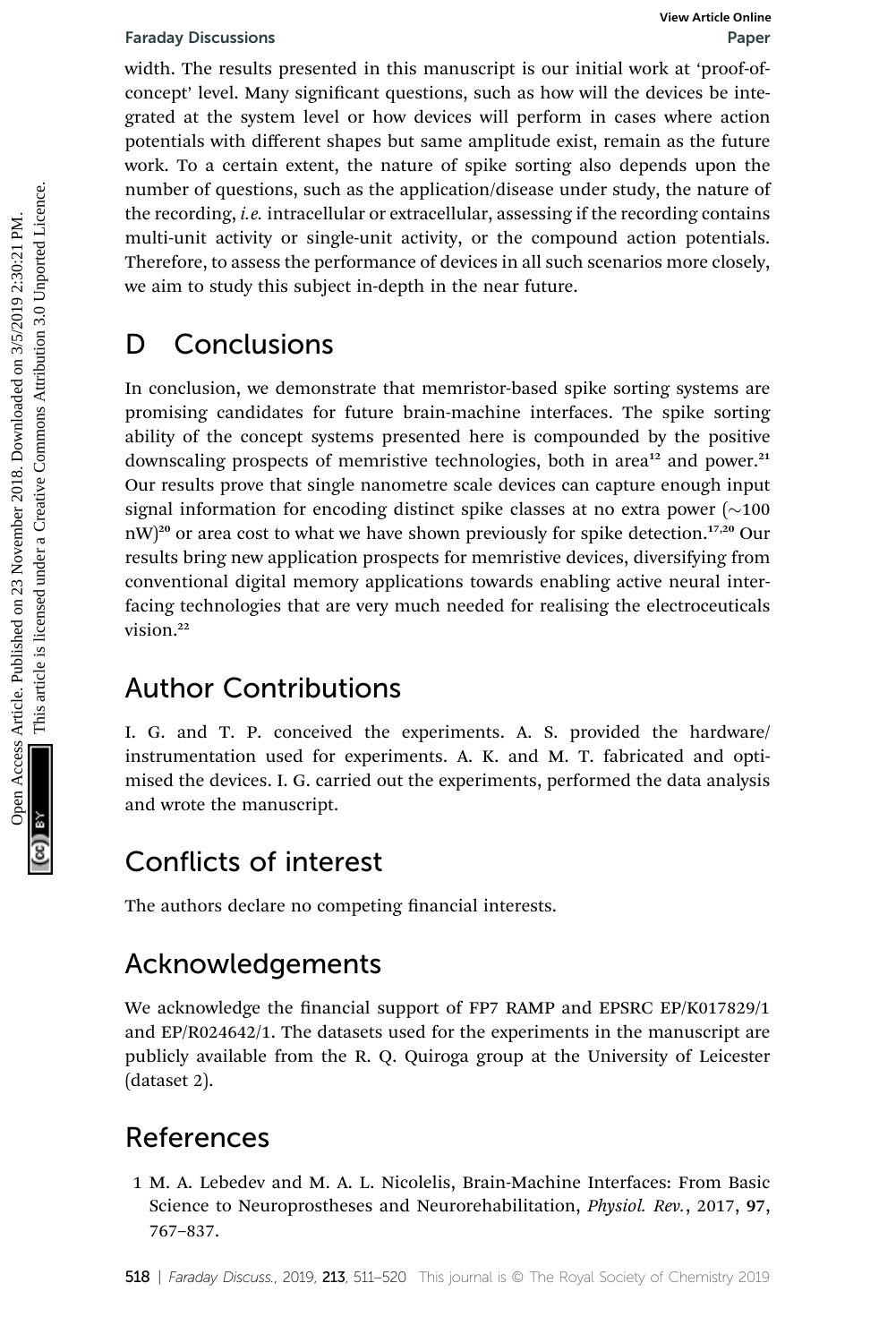width. The results presented in this manuscript is our initial work at 'proof-ofconcept' level. Many significant questions, such as how will the devices be integrated at the system level or how devices will perform in cases where action potentials with different shapes but same amplitude exist, remain as the future work. To a certain extent, the nature of spike sorting also depends upon the number of questions, such as the application/disease under study, the nature of the recording, *i.e.* intracellular or extracellular, assessing if the recording contains multi-unit activity or single-unit activity, or the compound action potentials. Therefore, to assess the performance of devices in all such scenarios more closely, we aim to study this subject in-depth in the near future.

# D Conclusions

In conclusion, we demonstrate that memristor-based spike sorting systems are promising candidates for future brain-machine interfaces. The spike sorting ability of the concept systems presented here is compounded by the positive downscaling prospects of memristive technologies, both in area<sup>12</sup> and power.<sup>21</sup> Our results prove that single nanometre scale devices can capture enough input signal information for encoding distinct spike classes at no extra power  $\sim 100$ nW)<sup>20</sup> or area cost to what we have shown previously for spike detection.<sup>17,20</sup> Our results bring new application prospects for memristive devices, diversifying from conventional digital memory applications towards enabling active neural interfacing technologies that are very much needed for realising the electroceuticals vision.<sup>22</sup> Faraday Diecussions<br>
with The results presented in this manuscript is our initial work at proof-<br>
concept' level. Many significant questions, such as how will the devices be inte-<br>
graded at the system level or how devices

# Author Contributions

I. G. and T. P. conceived the experiments. A. S. provided the hardware/ instrumentation used for experiments. A. K. and M. T. fabricated and optimised the devices. I. G. carried out the experiments, performed the data analysis and wrote the manuscript.

# Conflicts of interest

The authors declare no competing financial interests.

# Acknowledgements

We acknowledge the financial support of FP7 RAMP and EPSRC EP/K017829/1 and EP/R024642/1. The datasets used for the experiments in the manuscript are publicly available from the R. Q. Quiroga group at the University of Leicester (dataset 2).

# References

1 M. A. Lebedev and M. A. L. Nicolelis, Brain-Machine Interfaces: From Basic Science to Neuroprostheses and Neurorehabilitation, Physiol. Rev., 2017, 97, 767–837.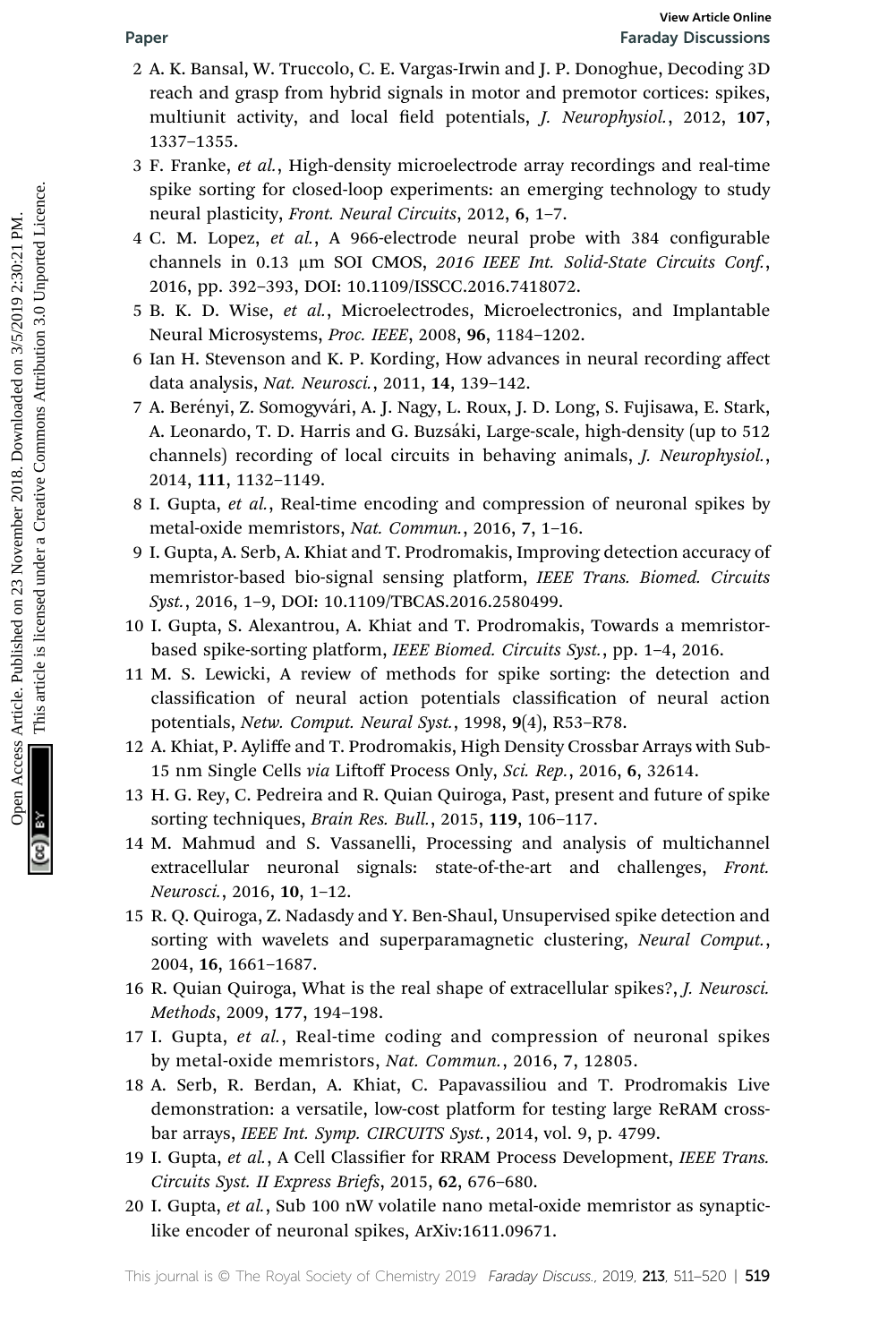- 2 A. K. Bansal, W. Truccolo, C. E. Vargas-Irwin and J. P. Donoghue, Decoding 3D reach and grasp from hybrid signals in motor and premotor cortices: spikes, multiunit activity, and local field potentials, *J. Neurophysiol.*, 2012, 107, 1337–1355. **Paper**<br>
2. A.K. Bansal, W. Truccolo, C. E. Vargas-Irwin and J. P. Donophuc, poedular on 24 November 2018.<br>
Tax-1.85.<br>
metriumit activity, and local field potentials, *J. Neurophysiol*, 2012, 107,<br>
3. P. This article. A.
	- 3 F. Franke, et al., High-density microelectrode array recordings and real-time spike sorting for closed-loop experiments: an emerging technology to study neural plasticity, Front. Neural Circuits, 2012, 6, 1–7.
	- 4 C. M. Lopez, et al., A 966-electrode neural probe with 384 configurable channels in 0.13 µm SOI CMOS, 2016 IEEE Int. Solid-State Circuits Conf., 2016, pp. 392–393, DOI: 10.1109/ISSCC.2016.7418072.
	- 5 B. K. D. Wise, et al., Microelectrodes, Microelectronics, and Implantable Neural Microsystems, Proc. IEEE, 2008, 96, 1184–1202.
	- 6 Ian H. Stevenson and K. P. Kording, How advances in neural recording affect data analysis, Nat. Neurosci., 2011, 14, 139–142.
	- 7 A. Berényi, Z. Somogyvári, A. J. Nagy, L. Roux, J. D. Long, S. Fujisawa, E. Stark, A. Leonardo, T. D. Harris and G. Buzsáki, Large-scale, high-density (up to 512 channels) recording of local circuits in behaving animals, J. Neurophysiol., 2014, 111, 1132–1149.
	- 8 I. Gupta, et al., Real-time encoding and compression of neuronal spikes by metal-oxide memristors, Nat. Commun., 2016, 7, 1–16.
	- 9 I. Gupta, A. Serb, A. Khiat and T. Prodromakis, Improving detection accuracy of memristor-based bio-signal sensing platform, IEEE Trans. Biomed. Circuits Syst., 2016, 1–9, DOI: 10.1109/TBCAS.2016.2580499.
	- 10 I. Gupta, S. Alexantrou, A. Khiat and T. Prodromakis, Towards a memristorbased spike-sorting platform, IEEE Biomed. Circuits Syst., pp. 1–4, 2016.
	- 11 M. S. Lewicki, A review of methods for spike sorting: the detection and classification of neural action potentials classification of neural action potentials, Netw. Comput. Neural Syst., 1998, 9(4), R53–R78.
	- 12 A. Khiat, P. Ayliffe and T. Prodromakis, High Density Crossbar Arrays with Sub-15 nm Single Cells via Liftoff Process Only, Sci. Rep., 2016, 6, 32614.
	- 13 H. G. Rey, C. Pedreira and R. Quian Quiroga, Past, present and future of spike sorting techniques, Brain Res. Bull., 2015, 119, 106–117.
	- 14 M. Mahmud and S. Vassanelli, Processing and analysis of multichannel extracellular neuronal signals: state-of-the-art and challenges, Front. Neurosci., 2016, 10, 1–12.
	- 15 R. Q. Quiroga, Z. Nadasdy and Y. Ben-Shaul, Unsupervised spike detection and sorting with wavelets and superparamagnetic clustering, Neural Comput., 2004, 16, 1661–1687.
	- 16 R. Quian Quiroga, What is the real shape of extracellular spikes?, J. Neurosci. Methods, 2009, 177, 194–198.
	- 17 I. Gupta, et al., Real-time coding and compression of neuronal spikes by metal-oxide memristors, Nat. Commun., 2016, 7, 12805.
	- 18 A. Serb, R. Berdan, A. Khiat, C. Papavassiliou and T. Prodromakis Live demonstration: a versatile, low-cost platform for testing large ReRAM crossbar arrays, IEEE Int. Symp. CIRCUITS Syst., 2014, vol. 9, p. 4799.
	- 19 I. Gupta, et al., A Cell Classifier for RRAM Process Development, IEEE Trans. Circuits Syst. II Express Briefs, 2015, 62, 676–680.
	- 20 I. Gupta, et al., Sub 100 nW volatile nano metal-oxide memristor as synapticlike encoder of neuronal spikes, ArXiv:1611.09671.